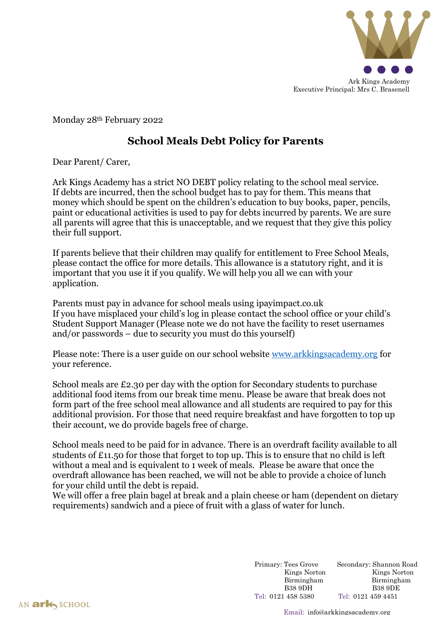

Monday 28th February 2022

## **School Meals Debt Policy for Parents**

Dear Parent/ Carer,

Ark Kings Academy has a strict NO DEBT policy relating to the school meal service. If debts are incurred, then the school budget has to pay for them. This means that money which should be spent on the children's education to buy books, paper, pencils, paint or educational activities is used to pay for debts incurred by parents. We are sure all parents will agree that this is unacceptable, and we request that they give this policy their full support.

If parents believe that their children may qualify for entitlement to Free School Meals, please contact the office for more details. This allowance is a statutory right, and it is important that you use it if you qualify. We will help you all we can with your application.

Parents must pay in advance for school meals using ipayimpact.co.uk If you have misplaced your child's log in please contact the school office or your child's Student Support Manager (Please note we do not have the facility to reset usernames and/or passwords – due to security you must do this yourself)

Please note: There is a user guide on our school website [www.arkkingsacademy.org](http://www.arkkingsacademy.org/) for your reference.

School meals are £2.30 per day with the option for Secondary students to purchase additional food items from our break time menu. Please be aware that break does not form part of the free school meal allowance and all students are required to pay for this additional provision. For those that need require breakfast and have forgotten to top up their account, we do provide bagels free of charge.

School meals need to be paid for in advance. There is an overdraft facility available to all students of £11.50 for those that forget to top up. This is to ensure that no child is left without a meal and is equivalent to 1 week of meals. Please be aware that once the overdraft allowance has been reached, we will not be able to provide a choice of lunch for your child until the debt is repaid.

We will offer a free plain bagel at break and a plain cheese or ham (dependent on dietary requirements) sandwich and a piece of fruit with a glass of water for lunch.

> Primary: Tees Grove Secondary: Shannon Road Kings Norton Kings Norton Birmingham Birmingham B38 9DH<br>
> 1 458 5380 Tel: 0121 459 4451 Tel: 0121 458 5380